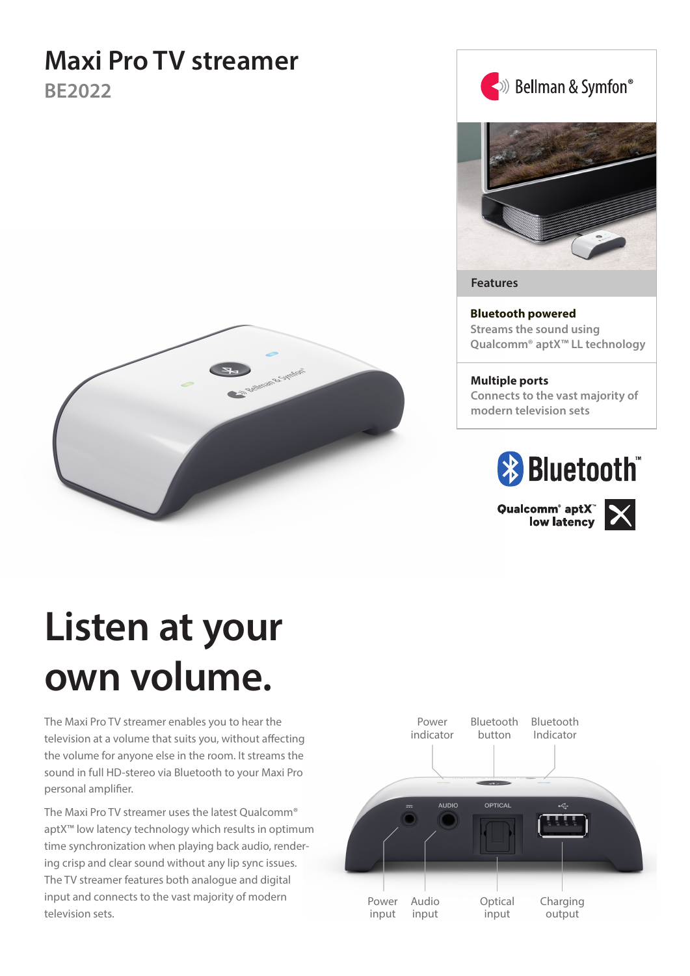# **Maxi Pro TV streamer**

**BE2022**





**Features**

**Bluetooth powered Streams the sound using Qualcomm® aptX™ LL technology**

**Multiple ports Connects to the vast majority of modern television sets**



Qualcomm<sup>®</sup> aptX<sup>®</sup><br>low latency



# **Listen at your own volume.**

The Maxi Pro TV streamer enables you to hear the television at a volume that suits you, without affecting the volume for anyone else in the room. It streams the sound in full HD-stereo via Bluetooth to your Maxi Pro personal amplifier.

The Maxi Pro TV streamer uses the latest Qualcomm® aptX™ low latency technology which results in optimum time synchronization when playing back audio, rendering crisp and clear sound without any lip sync issues. The TV streamer features both analogue and digital input and connects to the vast majority of modern television sets.